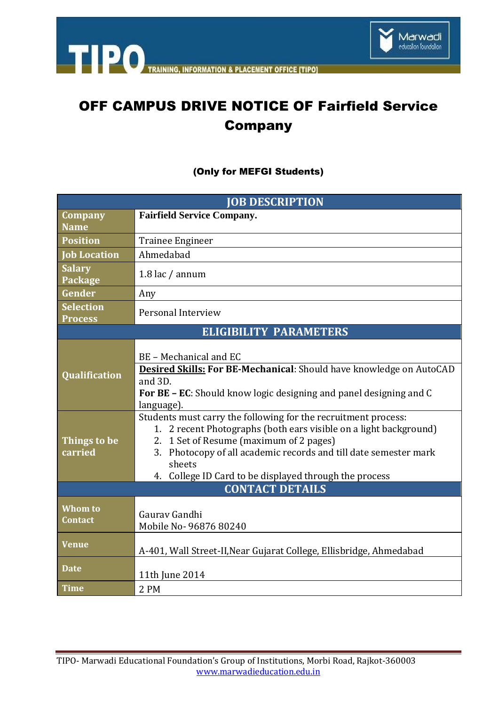

# OFF CAMPUS DRIVE NOTICE OF Fairfield Service Company

### (Only for MEFGI Students)

| <b>JOB DESCRIPTION</b>             |                                                                                                                                                                                                                                                                                                                        |
|------------------------------------|------------------------------------------------------------------------------------------------------------------------------------------------------------------------------------------------------------------------------------------------------------------------------------------------------------------------|
| <b>Company</b>                     | <b>Fairfield Service Company.</b>                                                                                                                                                                                                                                                                                      |
| <b>Name</b>                        |                                                                                                                                                                                                                                                                                                                        |
| <b>Position</b>                    | Trainee Engineer                                                                                                                                                                                                                                                                                                       |
| <b>Job Location</b>                | Ahmedabad                                                                                                                                                                                                                                                                                                              |
| <b>Salary</b><br>Package           | 1.8 lac / annum                                                                                                                                                                                                                                                                                                        |
| Gender                             | Any                                                                                                                                                                                                                                                                                                                    |
| <b>Selection</b><br><b>Process</b> | Personal Interview                                                                                                                                                                                                                                                                                                     |
| <b>ELIGIBILITY PARAMETERS</b>      |                                                                                                                                                                                                                                                                                                                        |
| Qualification                      | BE - Mechanical and EC<br>Desired Skills: For BE-Mechanical: Should have knowledge on AutoCAD<br>and 3D.<br><b>For BE – EC:</b> Should know logic designing and panel designing and C<br>language).                                                                                                                    |
| Things to be<br>carried            | Students must carry the following for the recruitment process:<br>1. 2 recent Photographs (both ears visible on a light background)<br>2. 1 Set of Resume (maximum of 2 pages)<br>3. Photocopy of all academic records and till date semester mark<br>sheets<br>4. College ID Card to be displayed through the process |
| <b>CONTACT DETAILS</b>             |                                                                                                                                                                                                                                                                                                                        |
| <b>Whom to</b><br><b>Contact</b>   | Gauray Gandhi<br>Mobile No- 96876 80240                                                                                                                                                                                                                                                                                |
| <b>Venue</b>                       | A-401, Wall Street-II, Near Gujarat College, Ellisbridge, Ahmedabad                                                                                                                                                                                                                                                    |
| <b>Date</b>                        | 11th June 2014                                                                                                                                                                                                                                                                                                         |
| <b>Time</b>                        | 2 PM                                                                                                                                                                                                                                                                                                                   |